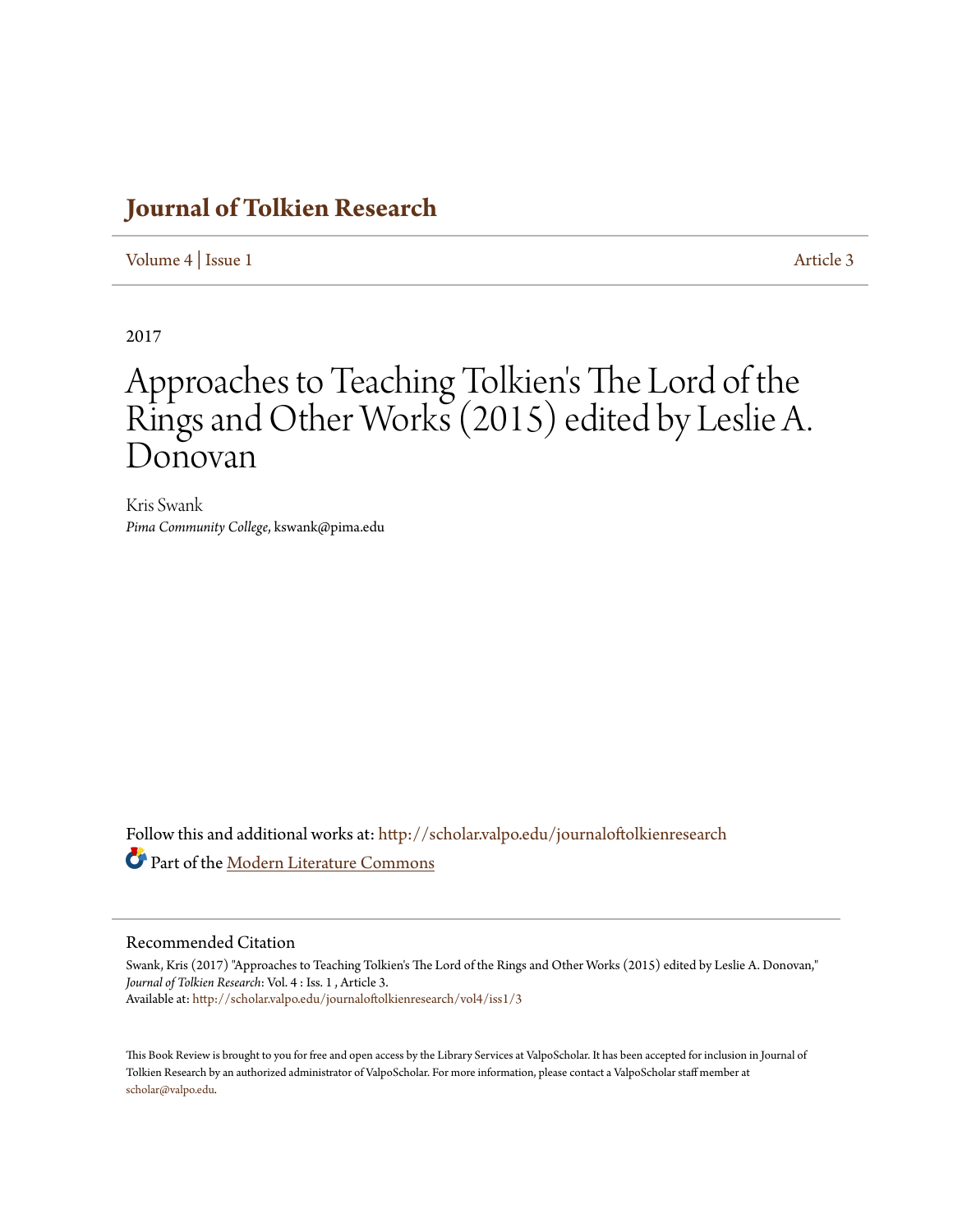## **[Journal of Tolkien Research](http://scholar.valpo.edu/journaloftolkienresearch?utm_source=scholar.valpo.edu%2Fjournaloftolkienresearch%2Fvol4%2Fiss1%2F3&utm_medium=PDF&utm_campaign=PDFCoverPages)**

[Volume 4](http://scholar.valpo.edu/journaloftolkienresearch/vol4?utm_source=scholar.valpo.edu%2Fjournaloftolkienresearch%2Fvol4%2Fiss1%2F3&utm_medium=PDF&utm_campaign=PDFCoverPages) | [Issue 1](http://scholar.valpo.edu/journaloftolkienresearch/vol4/iss1?utm_source=scholar.valpo.edu%2Fjournaloftolkienresearch%2Fvol4%2Fiss1%2F3&utm_medium=PDF&utm_campaign=PDFCoverPages) [Article 3](http://scholar.valpo.edu/journaloftolkienresearch/vol4/iss1/3?utm_source=scholar.valpo.edu%2Fjournaloftolkienresearch%2Fvol4%2Fiss1%2F3&utm_medium=PDF&utm_campaign=PDFCoverPages)

2017

## Approaches to Teaching Tolkien 's The Lord of the Rings and Other Works (2015) edited by Leslie A. Donovan

Kris Swank *Pima Community College*, kswank@pima.edu

Follow this and additional works at: [http://scholar.valpo.edu/journaloftolkienresearch](http://scholar.valpo.edu/journaloftolkienresearch?utm_source=scholar.valpo.edu%2Fjournaloftolkienresearch%2Fvol4%2Fiss1%2F3&utm_medium=PDF&utm_campaign=PDFCoverPages) Part of the [Modern Literature Commons](http://network.bepress.com/hgg/discipline/1050?utm_source=scholar.valpo.edu%2Fjournaloftolkienresearch%2Fvol4%2Fiss1%2F3&utm_medium=PDF&utm_campaign=PDFCoverPages)

## Recommended Citation

Swank, Kris (2017) "Approaches to Teaching Tolkien's The Lord of the Rings and Other Works (2015) edited by Leslie A. Donovan," *Journal of Tolkien Research*: Vol. 4 : Iss. 1 , Article 3. Available at: [http://scholar.valpo.edu/journaloftolkienresearch/vol4/iss1/3](http://scholar.valpo.edu/journaloftolkienresearch/vol4/iss1/3?utm_source=scholar.valpo.edu%2Fjournaloftolkienresearch%2Fvol4%2Fiss1%2F3&utm_medium=PDF&utm_campaign=PDFCoverPages)

This Book Review is brought to you for free and open access by the Library Services at ValpoScholar. It has been accepted for inclusion in Journal of Tolkien Research by an authorized administrator of ValpoScholar. For more information, please contact a ValpoScholar staff member at [scholar@valpo.edu.](mailto:scholar@valpo.edu)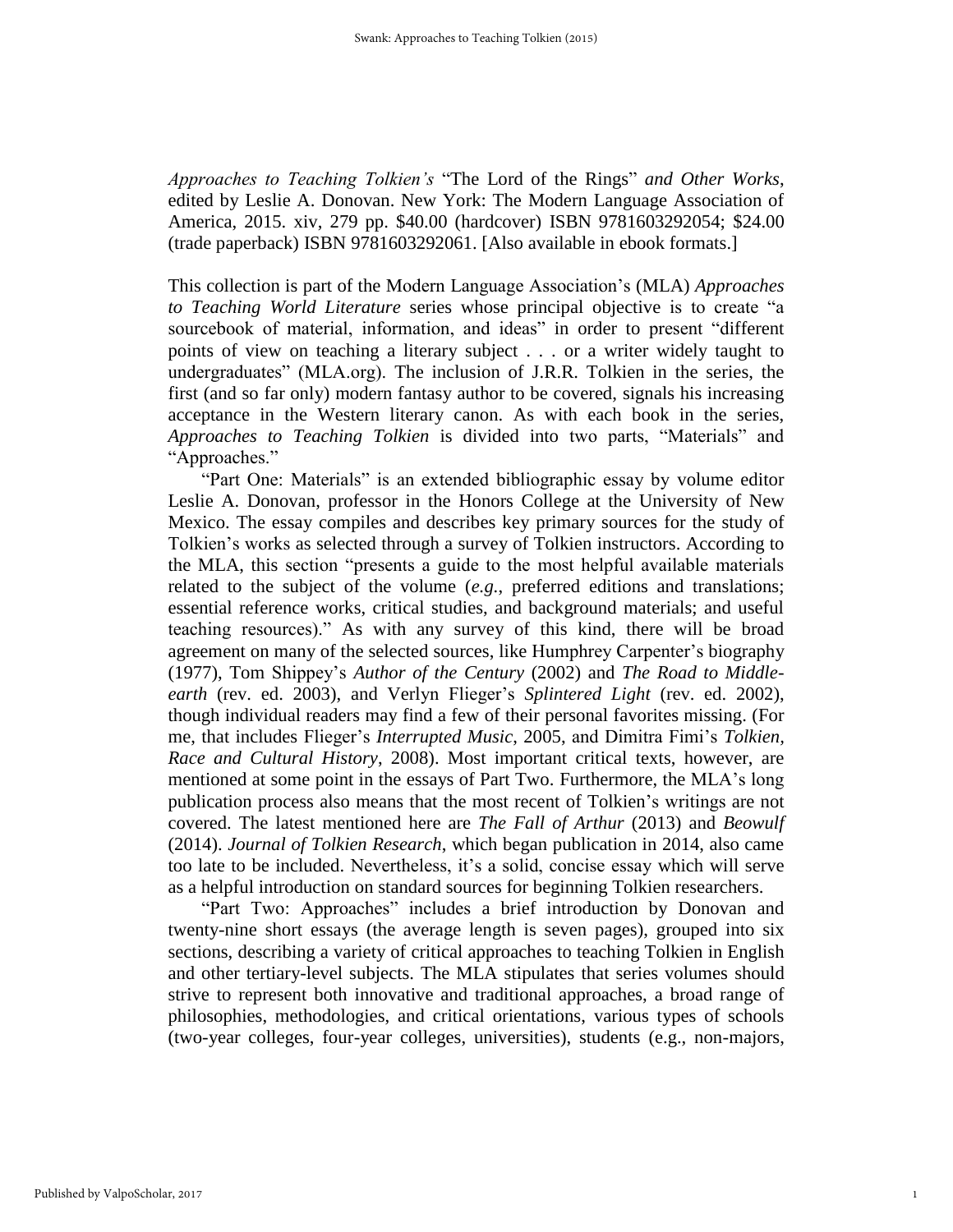*Approaches to Teaching Tolkien's* "The Lord of the Rings" *and Other Works*, edited by Leslie A. Donovan. New York: The Modern Language Association of America, 2015. xiv, 279 pp. \$40.00 (hardcover) ISBN 9781603292054; \$24.00 (trade paperback) ISBN 9781603292061. [Also available in ebook formats.]

This collection is part of the Modern Language Association's (MLA) *Approaches to Teaching World Literature* series whose principal objective is to create "a sourcebook of material, information, and ideas" in order to present "different points of view on teaching a literary subject . . . or a writer widely taught to undergraduates" (MLA.org). The inclusion of J.R.R. Tolkien in the series, the first (and so far only) modern fantasy author to be covered, signals his increasing acceptance in the Western literary canon. As with each book in the series, *Approaches to Teaching Tolkien* is divided into two parts, "Materials" and "Approaches."

"Part One: Materials" is an extended bibliographic essay by volume editor Leslie A. Donovan, professor in the Honors College at the University of New Mexico. The essay compiles and describes key primary sources for the study of Tolkien's works as selected through a survey of Tolkien instructors. According to the MLA, this section "presents a guide to the most helpful available materials related to the subject of the volume (*e.g.*, preferred editions and translations; essential reference works, critical studies, and background materials; and useful teaching resources)." As with any survey of this kind, there will be broad agreement on many of the selected sources, like Humphrey Carpenter's biography (1977), Tom Shippey's *Author of the Century* (2002) and *The Road to Middleearth* (rev. ed. 2003), and Verlyn Flieger's *Splintered Light* (rev. ed. 2002), though individual readers may find a few of their personal favorites missing. (For me, that includes Flieger's *Interrupted Music*, 2005, and Dimitra Fimi's *Tolkien, Race and Cultural History*, 2008). Most important critical texts, however, are mentioned at some point in the essays of Part Two. Furthermore, the MLA's long publication process also means that the most recent of Tolkien's writings are not covered. The latest mentioned here are *The Fall of Arthur* (2013) and *Beowulf* (2014). *Journal of Tolkien Research*, which began publication in 2014, also came too late to be included. Nevertheless, it's a solid, concise essay which will serve as a helpful introduction on standard sources for beginning Tolkien researchers.

"Part Two: Approaches" includes a brief introduction by Donovan and twenty-nine short essays (the average length is seven pages), grouped into six sections, describing a variety of critical approaches to teaching Tolkien in English and other tertiary-level subjects. The MLA stipulates that series volumes should strive to represent both innovative and traditional approaches, a broad range of philosophies, methodologies, and critical orientations, various types of schools (two-year colleges, four-year colleges, universities), students (e.g., non-majors,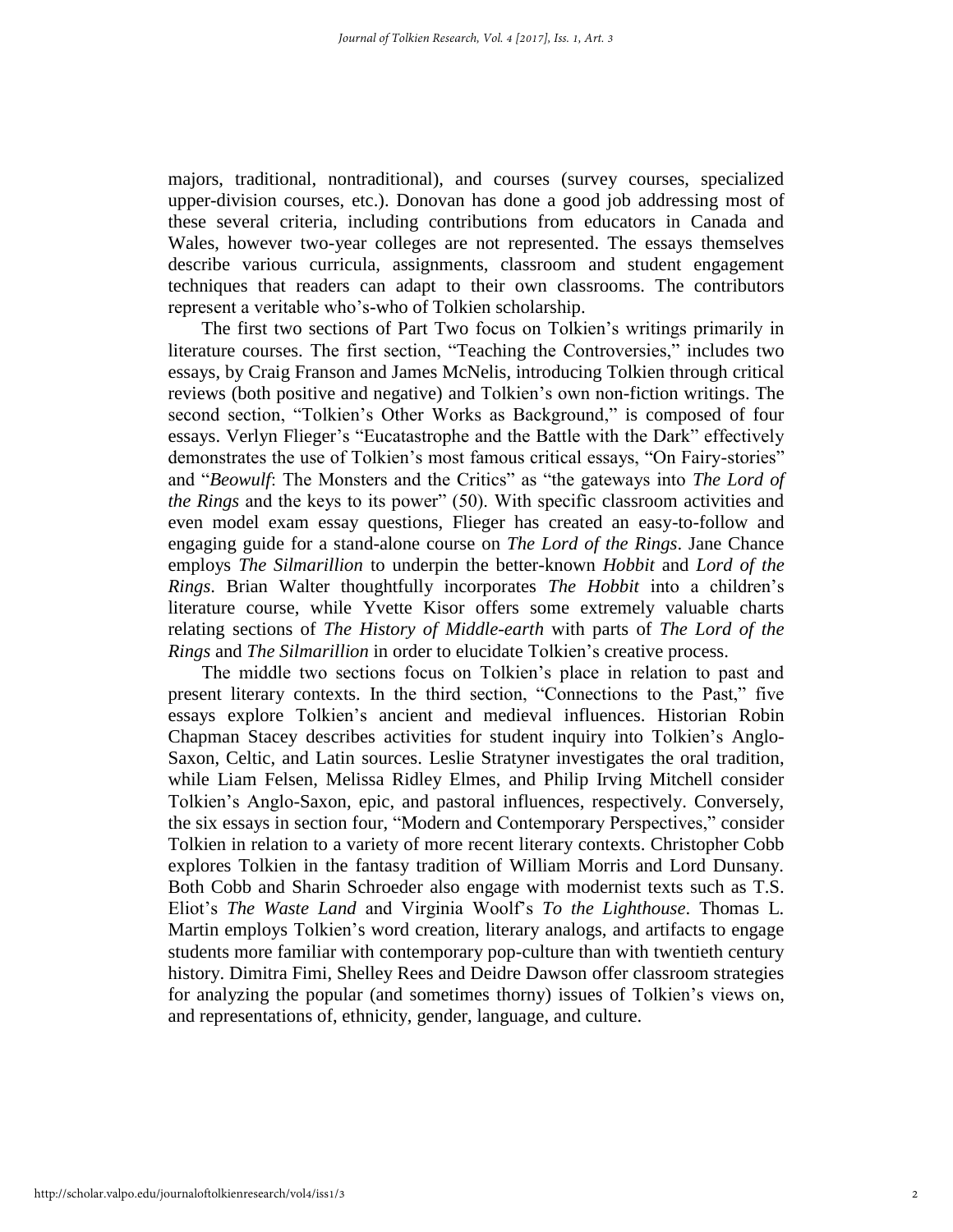majors, traditional, nontraditional), and courses (survey courses, specialized upper-division courses, etc.). Donovan has done a good job addressing most of these several criteria, including contributions from educators in Canada and Wales, however two-year colleges are not represented. The essays themselves describe various curricula, assignments, classroom and student engagement techniques that readers can adapt to their own classrooms. The contributors represent a veritable who's-who of Tolkien scholarship.

The first two sections of Part Two focus on Tolkien's writings primarily in literature courses. The first section, "Teaching the Controversies," includes two essays, by Craig Franson and James McNelis, introducing Tolkien through critical reviews (both positive and negative) and Tolkien's own non-fiction writings. The second section, "Tolkien's Other Works as Background," is composed of four essays. Verlyn Flieger's "Eucatastrophe and the Battle with the Dark" effectively demonstrates the use of Tolkien's most famous critical essays, "On Fairy-stories" and "*Beowulf*: The Monsters and the Critics" as "the gateways into *The Lord of the Rings* and the keys to its power" (50). With specific classroom activities and even model exam essay questions, Flieger has created an easy-to-follow and engaging guide for a stand-alone course on *The Lord of the Rings*. Jane Chance employs *The Silmarillion* to underpin the better-known *Hobbit* and *Lord of the Rings*. Brian Walter thoughtfully incorporates *The Hobbit* into a children's literature course, while Yvette Kisor offers some extremely valuable charts relating sections of *The History of Middle-earth* with parts of *The Lord of the Rings* and *The Silmarillion* in order to elucidate Tolkien's creative process.

The middle two sections focus on Tolkien's place in relation to past and present literary contexts. In the third section, "Connections to the Past," five essays explore Tolkien's ancient and medieval influences. Historian Robin Chapman Stacey describes activities for student inquiry into Tolkien's Anglo-Saxon, Celtic, and Latin sources. Leslie Stratyner investigates the oral tradition, while Liam Felsen, Melissa Ridley Elmes, and Philip Irving Mitchell consider Tolkien's Anglo-Saxon, epic, and pastoral influences, respectively. Conversely, the six essays in section four, "Modern and Contemporary Perspectives," consider Tolkien in relation to a variety of more recent literary contexts. Christopher Cobb explores Tolkien in the fantasy tradition of William Morris and Lord Dunsany. Both Cobb and Sharin Schroeder also engage with modernist texts such as T.S. Eliot's *The Waste Land* and Virginia Woolf's *To the Lighthouse*. Thomas L. Martin employs Tolkien's word creation, literary analogs, and artifacts to engage students more familiar with contemporary pop-culture than with twentieth century history. Dimitra Fimi, Shelley Rees and Deidre Dawson offer classroom strategies for analyzing the popular (and sometimes thorny) issues of Tolkien's views on, and representations of, ethnicity, gender, language, and culture.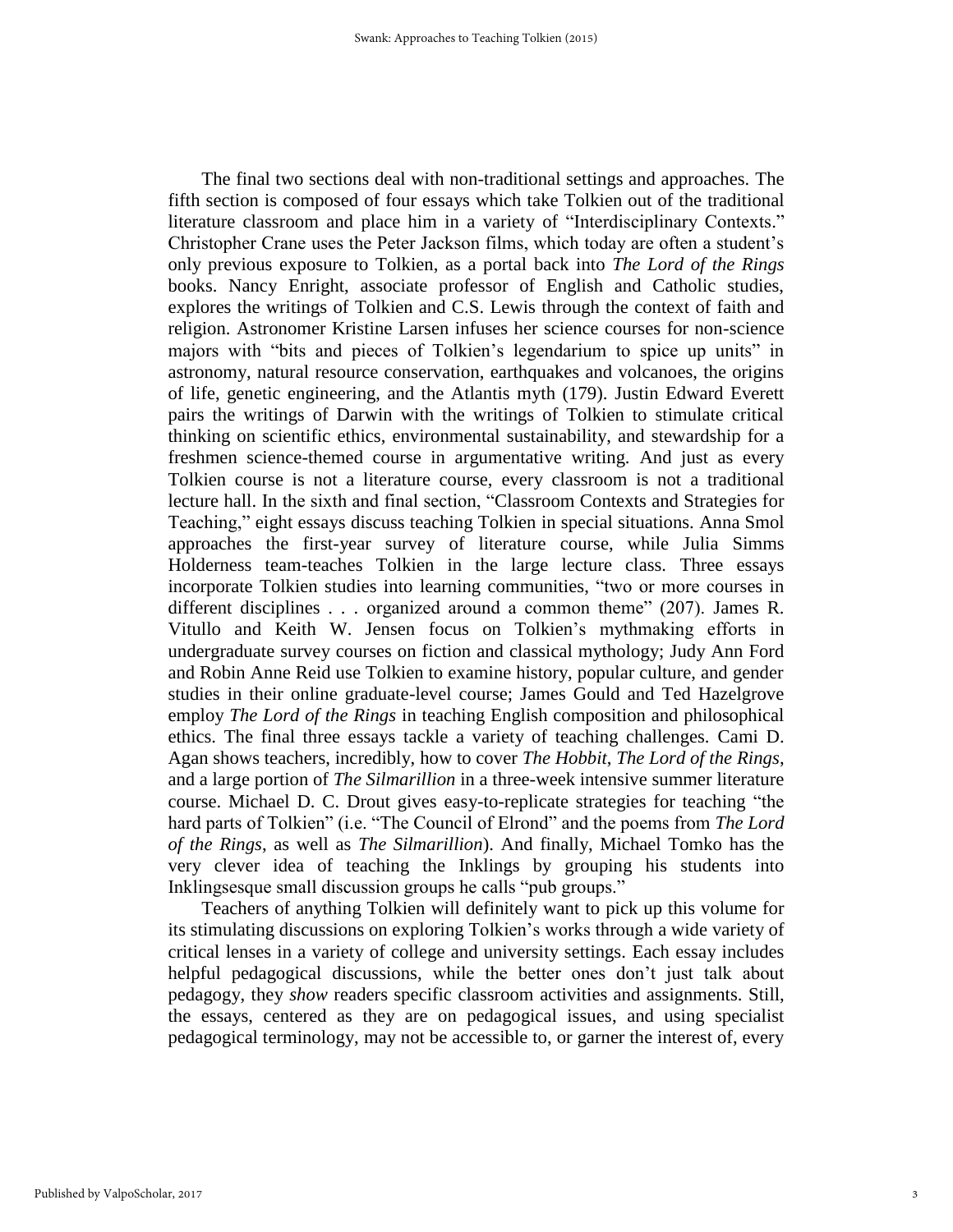The final two sections deal with non-traditional settings and approaches. The fifth section is composed of four essays which take Tolkien out of the traditional literature classroom and place him in a variety of "Interdisciplinary Contexts." Christopher Crane uses the Peter Jackson films, which today are often a student's only previous exposure to Tolkien, as a portal back into *The Lord of the Rings* books. Nancy Enright, associate professor of English and Catholic studies, explores the writings of Tolkien and C.S. Lewis through the context of faith and religion. Astronomer Kristine Larsen infuses her science courses for non-science majors with "bits and pieces of Tolkien's legendarium to spice up units" in astronomy, natural resource conservation, earthquakes and volcanoes, the origins of life, genetic engineering, and the Atlantis myth (179). Justin Edward Everett pairs the writings of Darwin with the writings of Tolkien to stimulate critical thinking on scientific ethics, environmental sustainability, and stewardship for a freshmen science-themed course in argumentative writing. And just as every Tolkien course is not a literature course, every classroom is not a traditional lecture hall. In the sixth and final section, "Classroom Contexts and Strategies for Teaching," eight essays discuss teaching Tolkien in special situations. Anna Smol approaches the first-year survey of literature course, while Julia Simms Holderness team-teaches Tolkien in the large lecture class. Three essays incorporate Tolkien studies into learning communities, "two or more courses in different disciplines . . . organized around a common theme" (207). James R. Vitullo and Keith W. Jensen focus on Tolkien's mythmaking efforts in undergraduate survey courses on fiction and classical mythology; Judy Ann Ford and Robin Anne Reid use Tolkien to examine history, popular culture, and gender studies in their online graduate-level course; James Gould and Ted Hazelgrove employ *The Lord of the Rings* in teaching English composition and philosophical ethics. The final three essays tackle a variety of teaching challenges. Cami D. Agan shows teachers, incredibly, how to cover *The Hobbit*, *The Lord of the Rings*, and a large portion of *The Silmarillion* in a three-week intensive summer literature course. Michael D. C. Drout gives easy-to-replicate strategies for teaching "the hard parts of Tolkien" (i.e. "The Council of Elrond" and the poems from *The Lord of the Rings*, as well as *The Silmarillion*). And finally, Michael Tomko has the very clever idea of teaching the Inklings by grouping his students into Inklingsesque small discussion groups he calls "pub groups."

Teachers of anything Tolkien will definitely want to pick up this volume for its stimulating discussions on exploring Tolkien's works through a wide variety of critical lenses in a variety of college and university settings. Each essay includes helpful pedagogical discussions, while the better ones don't just talk about pedagogy, they *show* readers specific classroom activities and assignments. Still, the essays, centered as they are on pedagogical issues, and using specialist pedagogical terminology, may not be accessible to, or garner the interest of, every